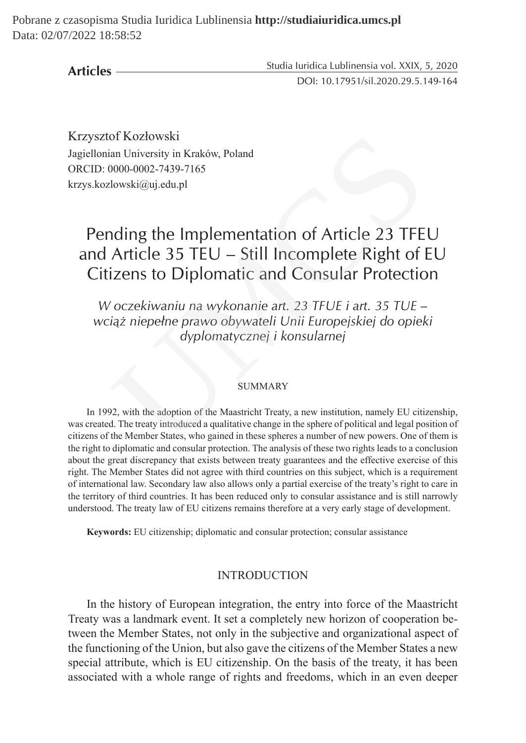Pobrane z czasopisma Studia Iuridica Lublinensia **http://studiaiuridica.umcs.pl** Data: 02/07/2022 18:58:52

**Articles**

Studia Iuridica Lublinensia vol. XXIX, 5, 2020 DOI: 10.17951/sil.2020.29.5.149-164

Krzysztof Kozłowski Jagiellonian University in Kraków, Poland ORCID: 0000-0002-7439-7165 krzys.kozlowski@uj.edu.pl

# Pending the Implementation of Article 23 TFEU and Article 35 TEU – Still Incomplete Right of EU Citizens to Diplomatic and Consular Protection of Kozłowski<br>
an University in Kraków, Poland<br>
2000-0002-7439-7165<br>
clowski@uj.edu.pl<br>
and ing the Implementation of Article 23 TFE<br>
Article 35 TEU – Still Incomplete Right of<br>
izens to Diplomatic and Consular Protectic<br>
c

*W oczekiwaniu na wykonanie art. 23 TFUE i art. 35 TUE – wciąż niepełne prawo obywateli Unii Europejskiej do opieki dyplomatycznej i konsularnej*

#### SUMMARY

In 1992, with the adoption of the Maastricht Treaty, a new institution, namely EU citizenship, was created. The treaty introduced a qualitative change in the sphere of political and legal position of citizens of the Member States, who gained in these spheres a number of new powers. One of them is the right to diplomatic and consular protection. The analysis of these two rights leads to a conclusion about the great discrepancy that exists between treaty guarantees and the effective exercise of this right. The Member States did not agree with third countries on this subject, which is a requirement of international law. Secondary law also allows only a partial exercise of the treaty's right to care in the territory of third countries. It has been reduced only to consular assistance and is still narrowly understood. The treaty law of EU citizens remains therefore at a very early stage of development.

**Keywords:** EU citizenship; diplomatic and consular protection; consular assistance

#### INTRODUCTION

In the history of European integration, the entry into force of the Maastricht Treaty was a landmark event. It set a completely new horizon of cooperation between the Member States, not only in the subjective and organizational aspect of the functioning of the Union, but also gave the citizens of the Member States a new special attribute, which is EU citizenship. On the basis of the treaty, it has been associated with a whole range of rights and freedoms, which in an even deeper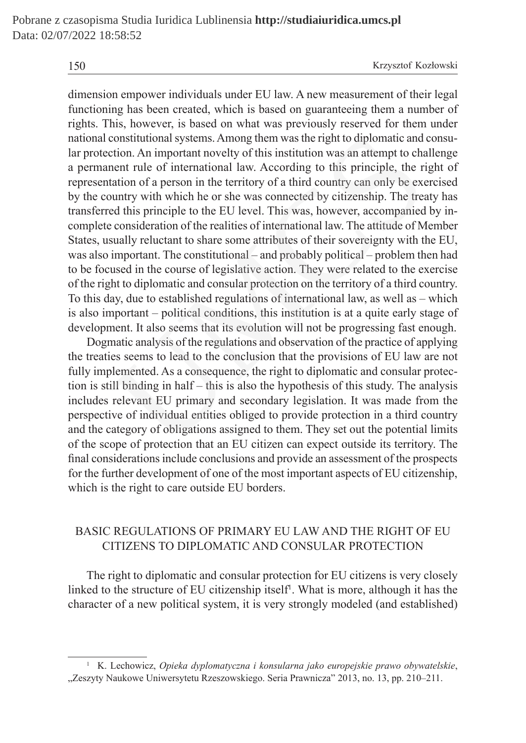dimension empower individuals under EU law. A new measurement of their legal functioning has been created, which is based on guaranteeing them a number of rights. This, however, is based on what was previously reserved for them under national constitutional systems. Among them was the right to diplomatic and consular protection. An important novelty of this institution was an attempt to challenge a permanent rule of international law. According to this principle, the right of representation of a person in the territory of a third country can only be exercised by the country with which he or she was connected by citizenship. The treaty has transferred this principle to the EU level. This was, however, accompanied by incomplete consideration of the realities of international law. The attitude of Member States, usually reluctant to share some attributes of their sovereignty with the EU, was also important. The constitutional – and probably political – problem then had to be focused in the course of legislative action. They were related to the exercise of the right to diplomatic and consular protection on the territory of a third country. To this day, due to established regulations of international law, as well as – which is also important – political conditions, this institution is at a quite early stage of development. It also seems that its evolution will not be progressing fast enough. constitutional systems. Among them was the right to diplomatic and<br>ction. An important novelty of this institution was an attempt to cha<br>ent rule of international law. According to this principle, the ri<br>attion of a person

Dogmatic analysis of the regulations and observation of the practice of applying the treaties seems to lead to the conclusion that the provisions of EU law are not fully implemented. As a consequence, the right to diplomatic and consular protection is still binding in half – this is also the hypothesis of this study. The analysis includes relevant EU primary and secondary legislation. It was made from the perspective of individual entities obliged to provide protection in a third country and the category of obligations assigned to them. They set out the potential limits of the scope of protection that an EU citizen can expect outside its territory. The final considerations include conclusions and provide an assessment of the prospects for the further development of one of the most important aspects of EU citizenship, which is the right to care outside EU borders.

# BASIC REGULATIONS OF PRIMARY EU LAW AND THE RIGHT OF EU CITIZENS TO DIPLOMATIC AND CONSULAR PROTECTION

The right to diplomatic and consular protection for EU citizens is very closely linked to the structure of EU citizenship itself<sup>1</sup>. What is more, although it has the character of a new political system, it is very strongly modeled (and established)

<sup>1</sup> K. Lechowicz, *Opieka dyplomatyczna i konsularna jako europejskie prawo obywatelskie*, "Zeszyty Naukowe Uniwersytetu Rzeszowskiego. Seria Prawnicza" 2013, no. 13, pp. 210–211.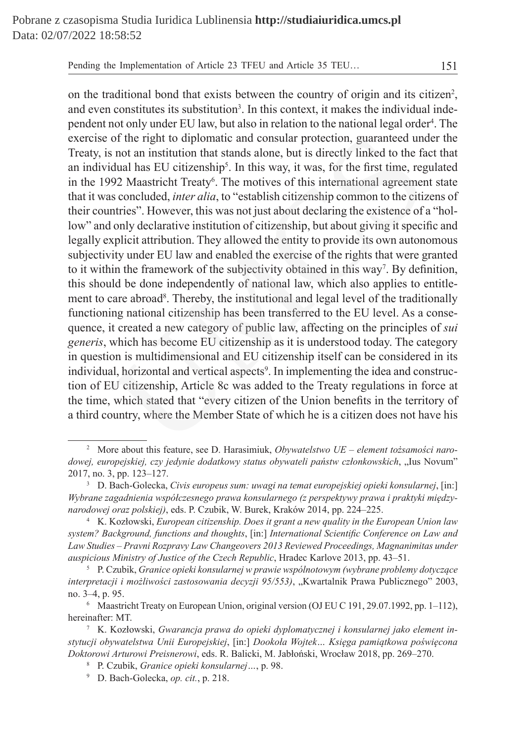on the traditional bond that exists between the country of origin and its citizen<sup>2</sup>, and even constitutes its substitution<sup>3</sup>. In this context, it makes the individual independent not only under EU law, but also in relation to the national legal order<sup>4</sup>. The exercise of the right to diplomatic and consular protection, guaranteed under the Treaty, is not an institution that stands alone, but is directly linked to the fact that an individual has EU citizenship<sup>5</sup>. In this way, it was, for the first time, regulated in the 1992 Maastricht Treaty<sup>6</sup>. The motives of this international agreement state that it was concluded, *inter alia*, to "establish citizenship common to the citizens of their countries". However, this was not just about declaring the existence of a "hollow" and only declarative institution of citizenship, but about giving it specific and legally explicit attribution. They allowed the entity to provide its own autonomous subjectivity under EU law and enabled the exercise of the rights that were granted to it within the framework of the subjectivity obtained in this way<sup>7</sup>. By definition, this should be done independently of national law, which also applies to entitlement to care abroad<sup>8</sup>. Thereby, the institutional and legal level of the traditionally functioning national citizenship has been transferred to the EU level. As a consequence, it created a new category of public law, affecting on the principles of *sui generis*, which has become EU citizenship as it is understood today. The category in question is multidimensional and EU citizenship itself can be considered in its individual, horizontal and vertical aspects<sup>9</sup>. In implementing the idea and construction of EU citizenship, Article 8c was added to the Treaty regulations in force at the time, which stated that "every citizen of the Union benefits in the territory of a third country, where the Member State of which he is a citizen does not have his of the right to diplomatic and consular protection, guaranteed une<br>s not an institution that stands alone, but is directly linked to the fa<br>dual has EU citizenship<sup>5</sup>. In this way, it was, for the first time, reg<br>92 Maast

<sup>2</sup> More about this feature, see D. Harasimiuk, *Obywatelstwo UE – element tożsamości narodowej, europejskiej, czy jedynie dodatkowy status obywateli państw członkowskich*, "Ius Novum" 2017, no. 3, pp. 123–127.

<sup>3</sup> D. Bach-Golecka, *Civis europeus sum: uwagi na temat europejskiej opieki konsularnej*, [in:] *Wybrane zagadnienia współczesnego prawa konsularnego (z perspektywy prawa i praktyki międzynarodowej oraz polskiej)*, eds. P. Czubik, W. Burek, Kraków 2014, pp. 224–225.

<sup>4</sup> K. Kozłowski, *European citizenship. Does it grant a new quality in the European Union law system? Background, functions and thoughts*, [in:] *International Scientific Conference on Law and Law Studies – Pravni Rozpravy Law Changeovers 2013 Reviewed Proceedings, Magnanimitas under auspicious Ministry of Justice of the Czech Republic*, Hradec Karlove 2013, pp. 43–51.

<sup>5</sup> P. Czubik, *Granice opieki konsularnej w prawie wspólnotowym (wybrane problemy dotyczące interpretacji i możliwości zastosowania decyzji 95/553)*, "Kwartalnik Prawa Publicznego" 2003, no. 3–4, p. 95.

<sup>6</sup> Maastricht Treaty on European Union, original version (OJ EU C 191, 29.07.1992, pp. 1–112), hereinafter: MT.

<sup>7</sup> K. Kozłowski, *Gwarancja prawa do opieki dyplomatycznej i konsularnej jako element instytucji obywatelstwa Unii Europejskiej*, [in:] *Dookoła Wojtek… Księga pamiątkowa poświęcona Doktorowi Arturowi Preisnerowi*, eds. R. Balicki, M. Jabłoński, Wrocław 2018, pp. 269–270.

<sup>8</sup> P. Czubik, *Granice opieki konsularnej…*, p. 98.

<sup>9</sup> D. Bach-Golecka, *op. cit.*, p. 218.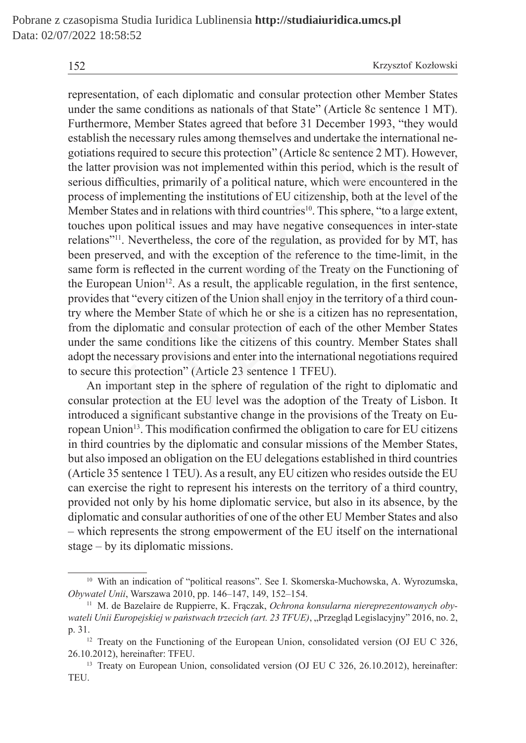representation, of each diplomatic and consular protection other Member States under the same conditions as nationals of that State" (Article 8c sentence 1 MT). Furthermore, Member States agreed that before 31 December 1993, "they would establish the necessary rules among themselves and undertake the international negotiations required to secure this protection" (Article 8c sentence 2 MT). However, the latter provision was not implemented within this period, which is the result of serious difficulties, primarily of a political nature, which were encountered in the process of implementing the institutions of EU citizenship, both at the level of the Member States and in relations with third countries<sup>10</sup>. This sphere, "to a large extent, touches upon political issues and may have negative consequences in inter-state relations"<sup>11</sup>. Nevertheless, the core of the regulation, as provided for by MT, has been preserved, and with the exception of the reference to the time-limit, in the same form is reflected in the current wording of the Treaty on the Functioning of the European Union<sup>12</sup>. As a result, the applicable regulation, in the first sentence, provides that "every citizen of the Union shall enjoy in the territory of a third country where the Member State of which he or she is a citizen has no representation, from the diplomatic and consular protection of each of the other Member States under the same conditions like the citizens of this country. Member States shall adopt the necessary provisions and enter into the international negotiations required to secure this protection" (Article 23 sentence 1 TFEU). the necessary rules among themselves and undertake the internatio<br>
is required to secure this protection" (Article 8c sentence 2 MT). Ho<br>
provision was not implemented within this period, which is the re<br>
difficulties, pr

An important step in the sphere of regulation of the right to diplomatic and consular protection at the EU level was the adoption of the Treaty of Lisbon. It introduced a significant substantive change in the provisions of the Treaty on European Union<sup>13</sup>. This modification confirmed the obligation to care for EU citizens in third countries by the diplomatic and consular missions of the Member States, but also imposed an obligation on the EU delegations established in third countries (Article 35 sentence 1 TEU). As a result, any EU citizen who resides outside the EU can exercise the right to represent his interests on the territory of a third country, provided not only by his home diplomatic service, but also in its absence, by the diplomatic and consular authorities of one of the other EU Member States and also – which represents the strong empowerment of the EU itself on the international stage – by its diplomatic missions.

<sup>10</sup> With an indication of "political reasons". See I. Skomerska-Muchowska, A. Wyrozumska, *Obywatel Unii*, Warszawa 2010, pp. 146–147, 149, 152–154.

<sup>11</sup> M. de Bazelaire de Ruppierre, K. Frączak, *Ochrona konsularna niereprezentowanych obywateli Unii Europejskiej w państwach trzecich (art. 23 TFUE)*, "Przegląd Legislacyjny" 2016, no. 2, p. 31.

<sup>&</sup>lt;sup>12</sup> Treaty on the Functioning of the European Union, consolidated version (OJ EU C 326, 26.10.2012), hereinafter: TFEU.

<sup>&</sup>lt;sup>13</sup> Treaty on European Union, consolidated version (OJ EU C 326, 26.10.2012), hereinafter: TEU.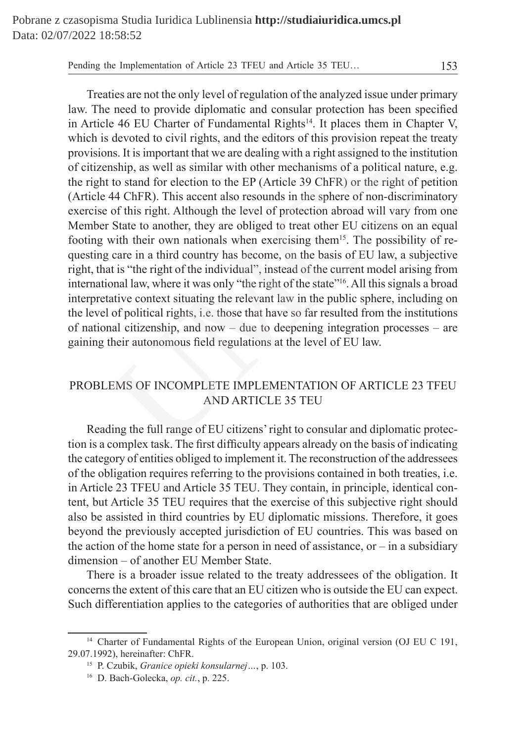Treaties are not the only level of regulation of the analyzed issue under primary law. The need to provide diplomatic and consular protection has been specified in Article 46 EU Charter of Fundamental Rights<sup>14</sup>. It places them in Chapter V, which is devoted to civil rights, and the editors of this provision repeat the treaty provisions. It is important that we are dealing with a right assigned to the institution of citizenship, as well as similar with other mechanisms of a political nature, e.g. the right to stand for election to the EP (Article 39 ChFR) or the right of petition (Article 44 ChFR). This accent also resounds in the sphere of non-discriminatory exercise of this right. Although the level of protection abroad will vary from one Member State to another, they are obliged to treat other EU citizens on an equal footing with their own nationals when exercising them<sup>15</sup>. The possibility of requesting care in a third country has become, on the basis of EU law, a subjective right, that is "the right of the individual", instead of the current model arising from international law, where it was only "the right of the state"<sup>16</sup>. All this signals a broad interpretative context situating the relevant law in the public sphere, including on the level of political rights, i.e. those that have so far resulted from the institutions of national citizenship, and now – due to deepening integration processes – are gaining their autonomous field regulations at the level of EU law. devoted to civil rights, and the editors of this provision repeat the<br>so. It is important that we are dealing with a right assigned to the inst<br>ship, as well as similar with other mechanisms of a political natu<br>to to stan

## PROBLEMS OF INCOMPLETE IMPLEMENTATION OF ARTICLE 23 TFEU AND ARTICLE 35 TEU

Reading the full range of EU citizens' right to consular and diplomatic protection is a complex task. The first difficulty appears already on the basis of indicating the category of entities obliged to implement it. The reconstruction of the addressees of the obligation requires referring to the provisions contained in both treaties, i.e. in Article 23 TFEU and Article 35 TEU. They contain, in principle, identical content, but Article 35 TEU requires that the exercise of this subjective right should also be assisted in third countries by EU diplomatic missions. Therefore, it goes beyond the previously accepted jurisdiction of EU countries. This was based on the action of the home state for a person in need of assistance, or – in a subsidiary dimension – of another EU Member State.

There is a broader issue related to the treaty addressees of the obligation. It concerns the extent of this care that an EU citizen who is outside the EU can expect. Such differentiation applies to the categories of authorities that are obliged under

<sup>&</sup>lt;sup>14</sup> Charter of Fundamental Rights of the European Union, original version (OJ EU C 191, 29.07.1992), hereinafter: ChFR.

<sup>15</sup> P. Czubik, *Granice opieki konsularnej…*, p. 103.

<sup>16</sup> D. Bach-Golecka, *op. cit.*, p. 225.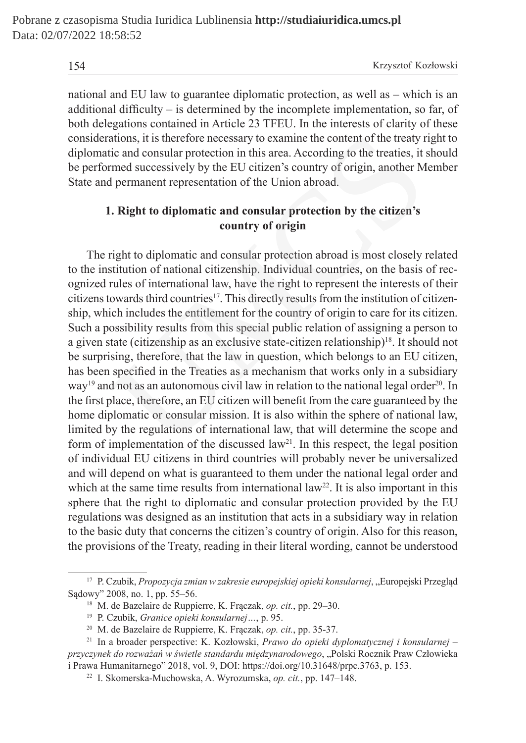national and EU law to guarantee diplomatic protection, as well as – which is an additional difficulty – is determined by the incomplete implementation, so far, of both delegations contained in Article 23 TFEU. In the interests of clarity of these considerations, it is therefore necessary to examine the content of the treaty right to diplomatic and consular protection in this area. According to the treaties, it should be performed successively by the EU citizen's country of origin, another Member State and permanent representation of the Union abroad.

## **1. Right to diplomatic and consular protection by the citizen's country of origin**

The right to diplomatic and consular protection abroad is most closely related to the institution of national citizenship. Individual countries, on the basis of recognized rules of international law, have the right to represent the interests of their citizens towards third countries<sup>17</sup>. This directly results from the institution of citizenship, which includes the entitlement for the country of origin to care for its citizen. Such a possibility results from this special public relation of assigning a person to a given state (citizenship as an exclusive state-citizen relationship)<sup>18</sup>. It should not be surprising, therefore, that the law in question, which belongs to an EU citizen, has been specified in the Treaties as a mechanism that works only in a subsidiary way<sup>19</sup> and not as an autonomous civil law in relation to the national legal order<sup>20</sup>. In the first place, therefore, an EU citizen will benefit from the care guaranteed by the home diplomatic or consular mission. It is also within the sphere of national law, limited by the regulations of international law, that will determine the scope and form of implementation of the discussed law<sup>21</sup>. In this respect, the legal position of individual EU citizens in third countries will probably never be universalized and will depend on what is guaranteed to them under the national legal order and which at the same time results from international  $law<sup>22</sup>$ . It is also important in this sphere that the right to diplomatic and consular protection provided by the EU regulations was designed as an institution that acts in a subsidiary way in relation to the basic duty that concerns the citizen's country of origin. Also for this reason, the provisions of the Treaty, reading in their literal wording, cannot be understood ations, it is therefore necessary to examine the content of the treaty rivic and consular protection in this area. According to the treaties, it rmed successively by the EU citizen's country of origin, another M permanent

<sup>17</sup> P. Czubik, *Propozycja zmian w zakresie europejskiej opieki konsularnej*, "Europejski Przegląd Sądowy" 2008, no. 1, pp. 55–56.

<sup>18</sup> M. de Bazelaire de Ruppierre, K. Frączak, *op. cit.*, pp. 29–30.

<sup>19</sup> P. Czubik, *Granice opieki konsularnej…*, p. 95.

<sup>20</sup> M. de Bazelaire de Ruppierre, K. Frączak, *op. cit.*, pp. 35-37.

<sup>21</sup> In a broader perspective: K. Kozłowski, *Prawo do opieki dyplomatycznej i konsularnej – przyczynek do rozważań w świetle standardu międzynarodowego*, "Polski Rocznik Praw Człowieka i Prawa Humanitarnego" 2018, vol. 9, DOI: https://doi.org/10.31648/prpc.3763, p. 153.

<sup>22</sup> I. Skomerska-Muchowska, A. Wyrozumska, *op. cit.*, pp. 147–148.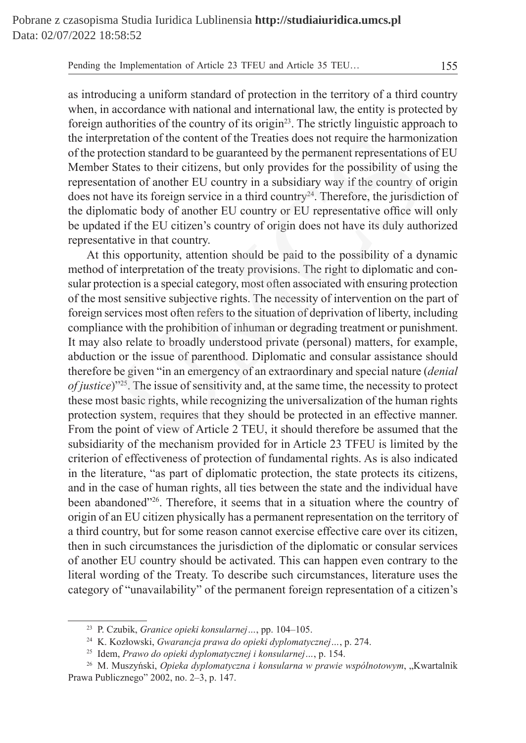as introducing a uniform standard of protection in the territory of a third country when, in accordance with national and international law, the entity is protected by foreign authorities of the country of its origin<sup>23</sup>. The strictly linguistic approach to the interpretation of the content of the Treaties does not require the harmonization of the protection standard to be guaranteed by the permanent representations of EU Member States to their citizens, but only provides for the possibility of using the representation of another EU country in a subsidiary way if the country of origin does not have its foreign service in a third country<sup>24</sup>. Therefore, the jurisdiction of the diplomatic body of another EU country or EU representative office will only be updated if the EU citizen's country of origin does not have its duly authorized representative in that country.

At this opportunity, attention should be paid to the possibility of a dynamic method of interpretation of the treaty provisions. The right to diplomatic and consular protection is a special category, most often associated with ensuring protection of the most sensitive subjective rights. The necessity of intervention on the part of foreign services most often refers to the situation of deprivation of liberty, including compliance with the prohibition of inhuman or degrading treatment or punishment. It may also relate to broadly understood private (personal) matters, for example, abduction or the issue of parenthood. Diplomatic and consular assistance should therefore be given "in an emergency of an extraordinary and special nature (*denial of justice*)<sup>"25</sup>. The issue of sensitivity and, at the same time, the necessity to protect these most basic rights, while recognizing the universalization of the human rights protection system, requires that they should be protected in an effective manner. From the point of view of Article 2 TEU, it should therefore be assumed that the subsidiarity of the mechanism provided for in Article 23 TFEU is limited by the criterion of effectiveness of protection of fundamental rights. As is also indicated in the literature, "as part of diplomatic protection, the state protects its citizens, and in the case of human rights, all ties between the state and the individual have been abandoned"<sup>26</sup>. Therefore, it seems that in a situation where the country of origin of an EU citizen physically has a permanent representation on the territory of a third country, but for some reason cannot exercise effective care over its citizen, then in such circumstances the jurisdiction of the diplomatic or consular services of another EU country should be activated. This can happen even contrary to the literal wording of the Treaty. To describe such circumstances, literature uses the category of "unavailability" of the permanent foreign representation of a citizen's pretation of the content of the Treaties does not require the harmon<br>otection standard to be guaranteed by the permanent representations<br>States to their citizens, but only provides for the possibility of usi<br>tation of ano

<sup>23</sup> P. Czubik, *Granice opieki konsularnej…*, pp. 104–105.

<sup>24</sup> K. Kozłowski, *Gwarancja prawa do opieki dyplomatycznej…*, p. 274.

<sup>25</sup> Idem, *Prawo do opieki dyplomatycznej i konsularnej…*, p. 154.

<sup>26</sup> M. Muszyński, *Opieka dyplomatyczna i konsularna w prawie wspólnotowym*, "Kwartalnik Prawa Publicznego" 2002, no. 2–3, p. 147.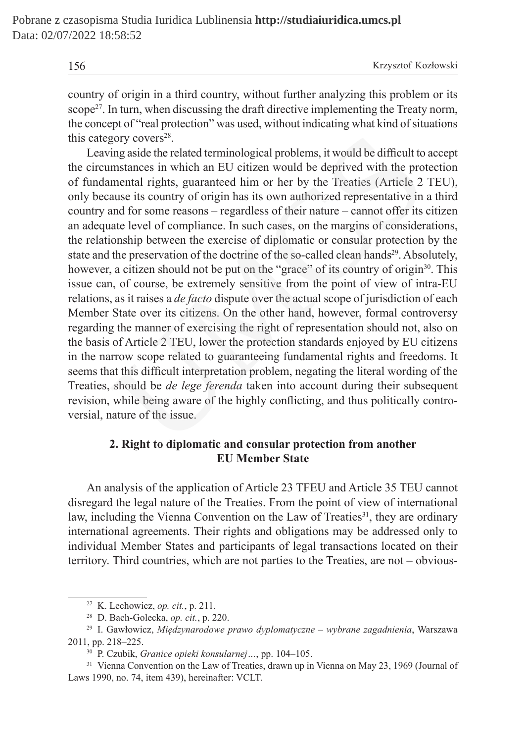156 Krzysztof Kozłowski

country of origin in a third country, without further analyzing this problem or its scope<sup>27</sup>. In turn, when discussing the draft directive implementing the Treaty norm, the concept of "real protection" was used, without indicating what kind of situations this category covers $28$ .

Leaving aside the related terminological problems, it would be difficult to accept the circumstances in which an EU citizen would be deprived with the protection of fundamental rights, guaranteed him or her by the Treaties (Article 2 TEU), only because its country of origin has its own authorized representative in a third country and for some reasons – regardless of their nature – cannot offer its citizen an adequate level of compliance. In such cases, on the margins of considerations, the relationship between the exercise of diplomatic or consular protection by the state and the preservation of the doctrine of the so-called clean hands<sup>29</sup>. Absolutely, however, a citizen should not be put on the "grace" of its country of origin<sup>30</sup>. This issue can, of course, be extremely sensitive from the point of view of intra-EU relations, as it raises a *de facto* dispute over the actual scope of jurisdiction of each Member State over its citizens. On the other hand, however, formal controversy regarding the manner of exercising the right of representation should not, also on the basis of Article 2 TEU, lower the protection standards enjoyed by EU citizens in the narrow scope related to guaranteeing fundamental rights and freedoms. It seems that this difficult interpretation problem, negating the literal wording of the Treaties, should be *de lege ferenda* taken into account during their subsequent revision, while being aware of the highly conflicting, and thus politically controversial, nature of the issue. gory covers<sup>28</sup>.<br>
ing aside the related terminological problems, it would be difficult to<br>
mustances in which an EU citizen would be deprived with the pro-<br>
mustances in which an EU citizen would be deprived with the pro-

## **2. Right to diplomatic and consular protection from another EU Member State**

An analysis of the application of Article 23 TFEU and Article 35 TEU cannot disregard the legal nature of the Treaties. From the point of view of international law, including the Vienna Convention on the Law of Treaties<sup>31</sup>, they are ordinary international agreements. Their rights and obligations may be addressed only to individual Member States and participants of legal transactions located on their territory. Third countries, which are not parties to the Treaties, are not – obvious-

<sup>27</sup> K. Lechowicz, *op. cit.*, p. 211.

<sup>28</sup> D. Bach-Golecka, *op. cit.*, p. 220.

<sup>29</sup> I. Gawłowicz, *Międzynarodowe prawo dyplomatyczne – wybrane zagadnienia*, Warszawa 2011, pp. 218–225.

<sup>30</sup> P. Czubik, *Granice opieki konsularnej…*, pp. 104–105.

<sup>&</sup>lt;sup>31</sup> Vienna Convention on the Law of Treaties, drawn up in Vienna on May 23, 1969 (Journal of Laws 1990, no. 74, item 439), hereinafter: VCLT.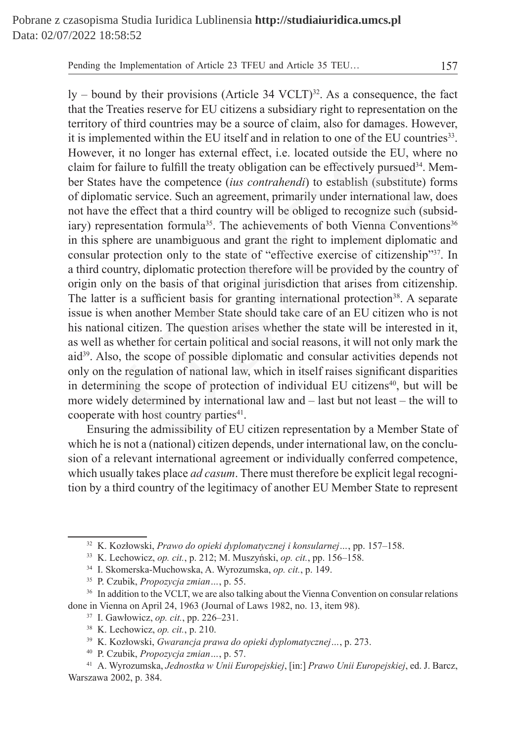$\gamma$  – bound by their provisions (Article 34 VCLT)<sup>32</sup>. As a consequence, the fact that the Treaties reserve for EU citizens a subsidiary right to representation on the territory of third countries may be a source of claim, also for damages. However, it is implemented within the EU itself and in relation to one of the EU countries<sup>33</sup>. However, it no longer has external effect, i.e. located outside the EU, where no claim for failure to fulfill the treaty obligation can be effectively pursued $34$ . Member States have the competence (*ius contrahendi*) to establish (substitute) forms of diplomatic service. Such an agreement, primarily under international law, does not have the effect that a third country will be obliged to recognize such (subsidiary) representation formula<sup>35</sup>. The achievements of both Vienna Conventions<sup>36</sup> in this sphere are unambiguous and grant the right to implement diplomatic and consular protection only to the state of "effective exercise of citizenship"<sup>37</sup>. In a third country, diplomatic protection therefore will be provided by the country of origin only on the basis of that original jurisdiction that arises from citizenship. The latter is a sufficient basis for granting international protection<sup>38</sup>. A separate issue is when another Member State should take care of an EU citizen who is not his national citizen. The question arises whether the state will be interested in it, as well as whether for certain political and social reasons, it will not only mark the aid<sup>39</sup>. Also, the scope of possible diplomatic and consular activities depends not only on the regulation of national law, which in itself raises significant disparities in determining the scope of protection of individual EU citizens<sup>40</sup>, but will be more widely determined by international law and – last but not least – the will to cooperate with host country parties<sup>41</sup>. lemented within the EU itself and in relation to one of the EU count, it no longer has external effect, i.e. located outside the EU, wh failure to fulfill the treaty obligation can be effectively pursued<sup>34</sup>. She have the

Ensuring the admissibility of EU citizen representation by a Member State of which he is not a (national) citizen depends, under international law, on the conclusion of a relevant international agreement or individually conferred competence, which usually takes place *ad casum*. There must therefore be explicit legal recognition by a third country of the legitimacy of another EU Member State to represent

<sup>32</sup> K. Kozłowski, *Prawo do opieki dyplomatycznej i konsularnej…*, pp. 157–158.

<sup>33</sup> K. Lechowicz, *op. cit.*, p. 212; M. Muszyński, *op. cit.*, pp. 156–158.

<sup>34</sup> I. Skomerska-Muchowska, A. Wyrozumska, *op. cit.*, p. 149.

<sup>35</sup> P. Czubik, *Propozycja zmian…*, p. 55.

<sup>&</sup>lt;sup>36</sup> In addition to the VCLT, we are also talking about the Vienna Convention on consular relations done in Vienna on April 24, 1963 (Journal of Laws 1982, no. 13, item 98).

<sup>37</sup> I. Gawłowicz, *op. cit.*, pp. 226–231.

<sup>38</sup> K. Lechowicz, *op. cit.*, p. 210.

<sup>39</sup> K. Kozłowski, *Gwarancja prawa do opieki dyplomatycznej…*, p. 273.

<sup>40</sup> P. Czubik, *Propozycja zmian…*, p. 57.

<sup>41</sup> A. Wyrozumska, *Jednostka w Unii Europejskiej*, [in:] *Prawo Unii Europejskiej*, ed. J. Barcz, Warszawa 2002, p. 384.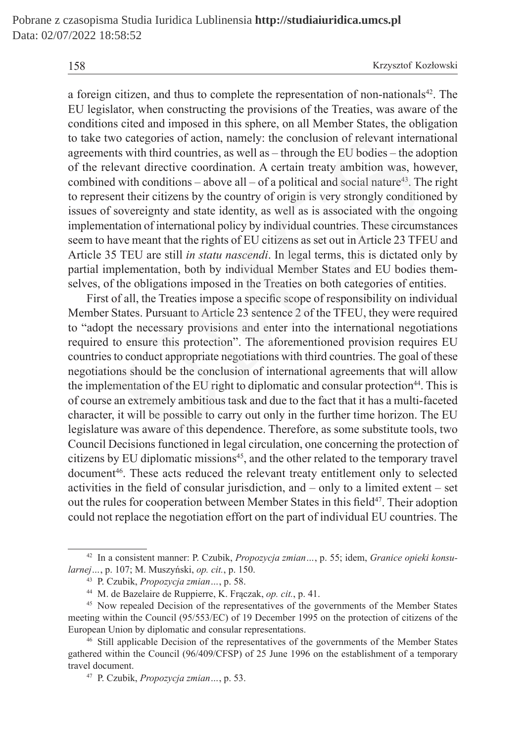158 Krzysztof Kozłowski

a foreign citizen, and thus to complete the representation of non-nationals<sup>42</sup>. The EU legislator, when constructing the provisions of the Treaties, was aware of the conditions cited and imposed in this sphere, on all Member States, the obligation to take two categories of action, namely: the conclusion of relevant international agreements with third countries, as well as – through the EU bodies – the adoption of the relevant directive coordination. A certain treaty ambition was, however, combined with conditions – above all – of a political and social nature<sup>43</sup>. The right to represent their citizens by the country of origin is very strongly conditioned by issues of sovereignty and state identity, as well as is associated with the ongoing implementation of international policy by individual countries. These circumstances seem to have meant that the rights of EU citizens as set out in Article 23 TFEU and Article 35 TEU are still *in statu nascendi*. In legal terms, this is dictated only by partial implementation, both by individual Member States and EU bodies themselves, of the obligations imposed in the Treaties on both categories of entities.

First of all, the Treaties impose a specific scope of responsibility on individual Member States. Pursuant to Article 23 sentence 2 of the TFEU, they were required to "adopt the necessary provisions and enter into the international negotiations required to ensure this protection". The aforementioned provision requires EU countries to conduct appropriate negotiations with third countries. The goal of these negotiations should be the conclusion of international agreements that will allow the implementation of the EU right to diplomatic and consular protection<sup>44</sup>. This is of course an extremely ambitious task and due to the fact that it has a multi-faceted character, it will be possible to carry out only in the further time horizon. The EU legislature was aware of this dependence. Therefore, as some substitute tools, two Council Decisions functioned in legal circulation, one concerning the protection of citizens by EU diplomatic missions<sup>45</sup>, and the other related to the temporary travel document<sup>46</sup>. These acts reduced the relevant treaty entitlement only to selected activities in the field of consular jurisdiction, and – only to a limited extent – set out the rules for cooperation between Member States in this field<sup>47</sup>. Their adoption could not replace the negotiation effort on the part of individual EU countries. The wo categories of action, namely: the conclusion of relevant internats with third countries, as well as - through the EU bodies - the adevant directive coordination. A certain treaty ambition was, how all with conditions -

<sup>42</sup> In a consistent manner: P. Czubik, *Propozycja zmian…*, p. 55; idem, *Granice opieki konsularnej…*, p. 107; M. Muszyński, *op. cit.*, p. 150.

<sup>43</sup> P. Czubik, *Propozycja zmian…*, p. 58.

<sup>44</sup> M. de Bazelaire de Ruppierre, K. Frączak, *op. cit.*, p. 41.

<sup>&</sup>lt;sup>45</sup> Now repealed Decision of the representatives of the governments of the Member States meeting within the Council (95/553/EC) of 19 December 1995 on the protection of citizens of the European Union by diplomatic and consular representations.

<sup>46</sup> Still applicable Decision of the representatives of the governments of the Member States gathered within the Council (96/409/CFSP) of 25 June 1996 on the establishment of a temporary travel document.

<sup>47</sup> P. Czubik, *Propozycja zmian…*, p. 53.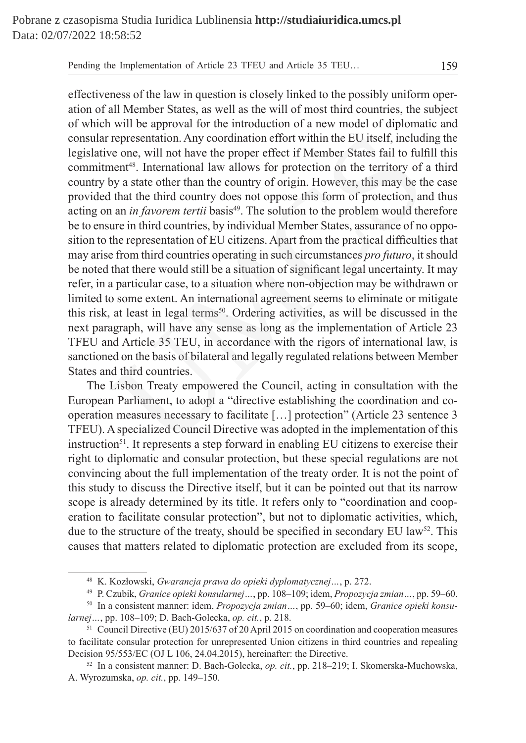effectiveness of the law in question is closely linked to the possibly uniform operation of all Member States, as well as the will of most third countries, the subject of which will be approval for the introduction of a new model of diplomatic and consular representation. Any coordination effort within the EU itself, including the legislative one, will not have the proper effect if Member States fail to fulfill this commitment<sup>48</sup>. International law allows for protection on the territory of a third country by a state other than the country of origin. However, this may be the case provided that the third country does not oppose this form of protection, and thus acting on an *in favorem tertii* basis<sup>49</sup>. The solution to the problem would therefore be to ensure in third countries, by individual Member States, assurance of no opposition to the representation of EU citizens. Apart from the practical difficulties that may arise from third countries operating in such circumstances *pro futuro*, it should be noted that there would still be a situation of significant legal uncertainty. It may refer, in a particular case, to a situation where non-objection may be withdrawn or limited to some extent. An international agreement seems to eliminate or mitigate this risk, at least in legal terms<sup>50</sup>. Ordering activities, as will be discussed in the next paragraph, will have any sense as long as the implementation of Article 23 TFEU and Article 35 TEU, in accordance with the rigors of international law, is sanctioned on the basis of bilateral and legally regulated relations between Member States and third countries. representation. Any coordination effort within the EU itself, includ<br>ve one, will not have the proper effect if Member States fail to full<br>nent<sup>48</sup>. International law allows for protection on the territory of<br>by a state o

The Lisbon Treaty empowered the Council, acting in consultation with the European Parliament, to adopt a "directive establishing the coordination and cooperation measures necessary to facilitate […] protection" (Article 23 sentence 3 TFEU). Aspecialized Council Directive was adopted in the implementation of this instruction<sup>51</sup>. It represents a step forward in enabling EU citizens to exercise their right to diplomatic and consular protection, but these special regulations are not convincing about the full implementation of the treaty order. It is not the point of this study to discuss the Directive itself, but it can be pointed out that its narrow scope is already determined by its title. It refers only to "coordination and cooperation to facilitate consular protection", but not to diplomatic activities, which, due to the structure of the treaty, should be specified in secondary EU law<sup>52</sup>. This causes that matters related to diplomatic protection are excluded from its scope,

<sup>48</sup> K. Kozłowski, *Gwarancja prawa do opieki dyplomatycznej…*, p. 272.

<sup>49</sup> P. Czubik, *Granice opieki konsularnej…*, pp. 108–109; idem, *Propozycja zmian…*, pp. 59–60.

<sup>50</sup> In a consistent manner: idem, *Propozycja zmian…*, pp. 59–60; idem, *Granice opieki konsularnej…*, pp. 108–109; D. Bach-Golecka, *op. cit.*, p. 218.

<sup>51</sup> Council Directive (EU) 2015/637 of 20 April 2015 on coordination and cooperation measures to facilitate consular protection for unrepresented Union citizens in third countries and repealing Decision 95/553/EC (OJ L 106, 24.04.2015), hereinafter: the Directive.

<sup>52</sup> In a consistent manner: D. Bach-Golecka, *op. cit.*, pp. 218–219; I. Skomerska-Muchowska, A. Wyrozumska, *op. cit.*, pp. 149–150.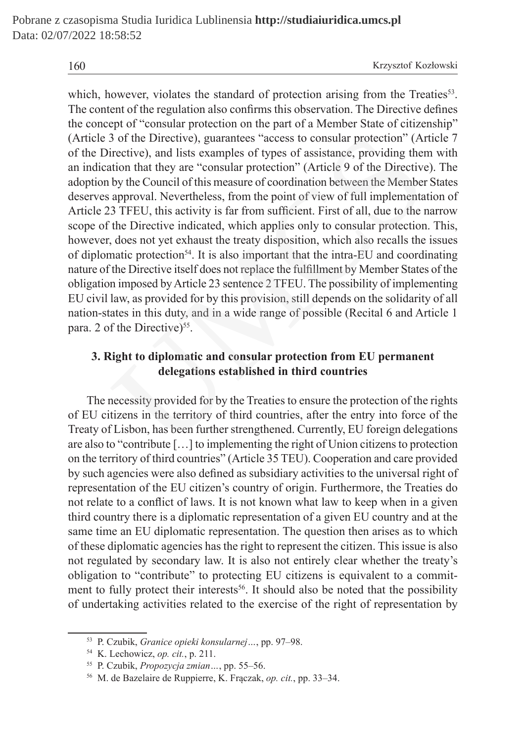which, however, violates the standard of protection arising from the Treaties<sup>53</sup>. The content of the regulation also confirms this observation. The Directive defines the concept of "consular protection on the part of a Member State of citizenship" (Article 3 of the Directive), guarantees "access to consular protection" (Article 7 of the Directive), and lists examples of types of assistance, providing them with an indication that they are "consular protection" (Article 9 of the Directive). The adoption by the Council of this measure of coordination between the Member States deserves approval. Nevertheless, from the point of view of full implementation of Article 23 TFEU, this activity is far from sufficient. First of all, due to the narrow scope of the Directive indicated, which applies only to consular protection. This, however, does not yet exhaust the treaty disposition, which also recalls the issues of diplomatic protection<sup>54</sup>. It is also important that the intra-EU and coordinating nature of the Directive itself does not replace the fulfillment by Member States of the obligation imposed by Article 23 sentence 2 TFEU. The possibility of implementing EU civil law, as provided for by this provision, still depends on the solidarity of all nation-states in this duty, and in a wide range of possible (Recital 6 and Article 1 para. 2 of the Directive)<sup>55</sup>. 3 of the Directive), guarantees "access to consular protection" (Ariective), and lists examples of types of assistance, providing the<br>tion that they are "consular protection" (Article 9 of the Directive<br>by the Council of

## **3. Right to diplomatic and consular protection from EU permanent delegations established in third countries**

The necessity provided for by the Treaties to ensure the protection of the rights of EU citizens in the territory of third countries, after the entry into force of the Treaty of Lisbon, has been further strengthened. Currently, EU foreign delegations are also to "contribute […] to implementing the right of Union citizens to protection on the territory of third countries" (Article 35 TEU). Cooperation and care provided by such agencies were also defined as subsidiary activities to the universal right of representation of the EU citizen's country of origin. Furthermore, the Treaties do not relate to a conflict of laws. It is not known what law to keep when in a given third country there is a diplomatic representation of a given EU country and at the same time an EU diplomatic representation. The question then arises as to which of these diplomatic agencies has the right to represent the citizen. This issue is also not regulated by secondary law. It is also not entirely clear whether the treaty's obligation to "contribute" to protecting EU citizens is equivalent to a commitment to fully protect their interests<sup>56</sup>. It should also be noted that the possibility of undertaking activities related to the exercise of the right of representation by

<sup>53</sup> P. Czubik, *Granice opieki konsularnej…*, pp. 97–98.

<sup>54</sup> K. Lechowicz, *op. cit.*, p. 211.

<sup>55</sup> P. Czubik, *Propozycja zmian…*, pp. 55–56.

<sup>56</sup> M. de Bazelaire de Ruppierre, K. Frączak, *op. cit.*, pp. 33–34.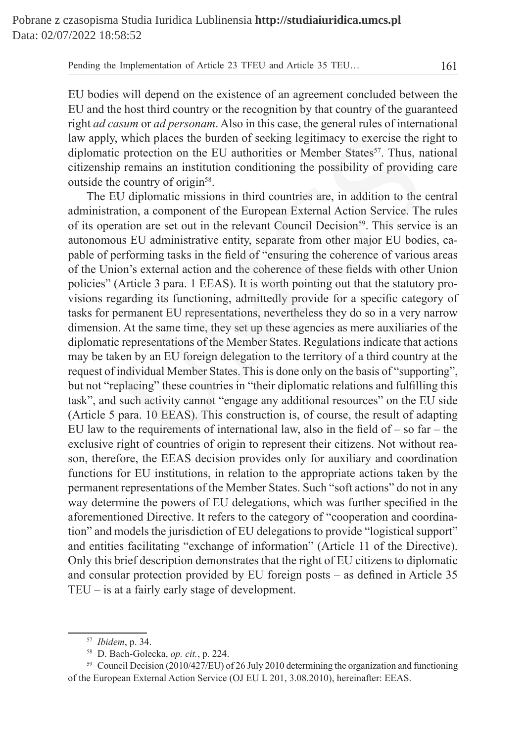EU bodies will depend on the existence of an agreement concluded between the EU and the host third country or the recognition by that country of the guaranteed right *ad casum* or *ad personam*. Also in this case, the general rules of international law apply, which places the burden of seeking legitimacy to exercise the right to diplomatic protection on the EU authorities or Member States<sup>57</sup>. Thus, national citizenship remains an institution conditioning the possibility of providing care outside the country of origin<sup>58</sup>.

The EU diplomatic missions in third countries are, in addition to the central administration, a component of the European External Action Service. The rules of its operation are set out in the relevant Council Decision<sup>59</sup>. This service is an autonomous EU administrative entity, separate from other major EU bodies, capable of performing tasks in the field of "ensuring the coherence of various areas of the Union's external action and the coherence of these fields with other Union policies" (Article 3 para. 1 EEAS). It is worth pointing out that the statutory provisions regarding its functioning, admittedly provide for a specific category of tasks for permanent EU representations, nevertheless they do so in a very narrow dimension. At the same time, they set up these agencies as mere auxiliaries of the diplomatic representations of the Member States. Regulations indicate that actions may be taken by an EU foreign delegation to the territory of a third country at the request of individual Member States. This is done only on the basis of "supporting", but not "replacing" these countries in "their diplomatic relations and fulfilling this task", and such activity cannot "engage any additional resources" on the EU side (Article 5 para. 10 EEAS). This construction is, of course, the result of adapting EU law to the requirements of international law, also in the field of  $-$  so far  $-$  the exclusive right of countries of origin to represent their citizens. Not without reason, therefore, the EEAS decision provides only for auxiliary and coordination functions for EU institutions, in relation to the appropriate actions taken by the permanent representations of the Member States. Such "soft actions" do not in any way determine the powers of EU delegations, which was further specified in the aforementioned Directive. It refers to the category of "cooperation and coordination" and models the jurisdiction of EU delegations to provide "logistical support" and entities facilitating "exchange of information" (Article 11 of the Directive). Only this brief description demonstrates that the right of EU citizens to diplomatic and consular protection provided by EU foreign posts – as defined in Article 35 TEU – is at a fairly early stage of development. y, which places the burden of seeking legitimacy to exercise the r<br>tic protection on the EU authorities or Member States<sup>57</sup>. Thus, n:<br>ip remains an institution conditioning the possibility of providin<br>he country of origi

<sup>57</sup> *Ibidem*, p. 34.

<sup>58</sup> D. Bach-Golecka, *op. cit.*, p. 224.

<sup>59</sup> Council Decision (2010/427/EU) of 26 July 2010 determining the organization and functioning of the European External Action Service (OJ EU L 201, 3.08.2010), hereinafter: EEAS.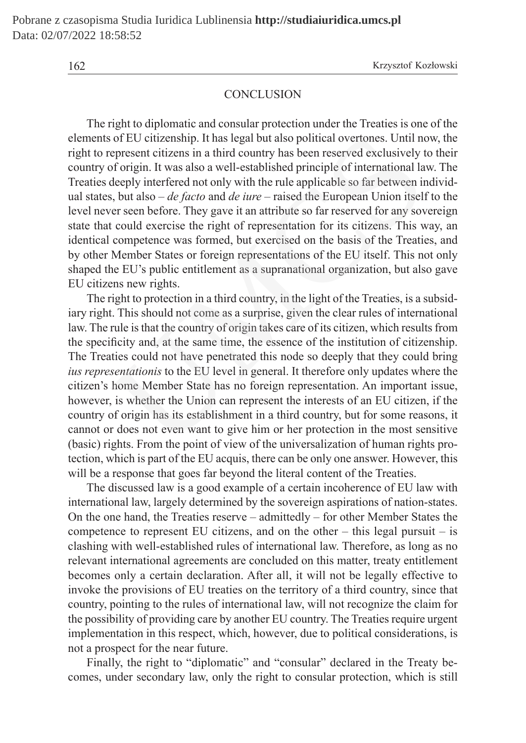#### **CONCLUSION**

The right to diplomatic and consular protection under the Treaties is one of the elements of EU citizenship. It has legal but also political overtones. Until now, the right to represent citizens in a third country has been reserved exclusively to their country of origin. It was also a well-established principle of international law. The Treaties deeply interfered not only with the rule applicable so far between individual states, but also – *de facto* and *de iure* – raised the European Union itself to the level never seen before. They gave it an attribute so far reserved for any sovereign state that could exercise the right of representation for its citizens. This way, an identical competence was formed, but exercised on the basis of the Treaties, and by other Member States or foreign representations of the EU itself. This not only shaped the EU's public entitlement as a supranational organization, but also gave EU citizens new rights.

The right to protection in a third country, in the light of the Treaties, is a subsidiary right. This should not come as a surprise, given the clear rules of international law. The rule is that the country of origin takes care of its citizen, which results from the specificity and, at the same time, the essence of the institution of citizenship. The Treaties could not have penetrated this node so deeply that they could bring *ius representationis* to the EU level in general. It therefore only updates where the citizen's home Member State has no foreign representation. An important issue, however, is whether the Union can represent the interests of an EU citizen, if the country of origin has its establishment in a third country, but for some reasons, it cannot or does not even want to give him or her protection in the most sensitive (basic) rights. From the point of view of the universalization of human rights protection, which is part of the EU acquis, there can be only one answer. However, this will be a response that goes far beyond the literal content of the Treaties. is of EU citizenship. It has legal but also political overtones. Until ne epresent citizens in a third country has been reserved exclusively to foreign. It was also a well-established principle of international la deeply

The discussed law is a good example of a certain incoherence of EU law with international law, largely determined by the sovereign aspirations of nation-states. On the one hand, the Treaties reserve – admittedly – for other Member States the competence to represent EU citizens, and on the other – this legal pursuit – is clashing with well-established rules of international law. Therefore, as long as no relevant international agreements are concluded on this matter, treaty entitlement becomes only a certain declaration. After all, it will not be legally effective to invoke the provisions of EU treaties on the territory of a third country, since that country, pointing to the rules of international law, will not recognize the claim for the possibility of providing care by another EU country. The Treaties require urgent implementation in this respect, which, however, due to political considerations, is not a prospect for the near future.

Finally, the right to "diplomatic" and "consular" declared in the Treaty becomes, under secondary law, only the right to consular protection, which is still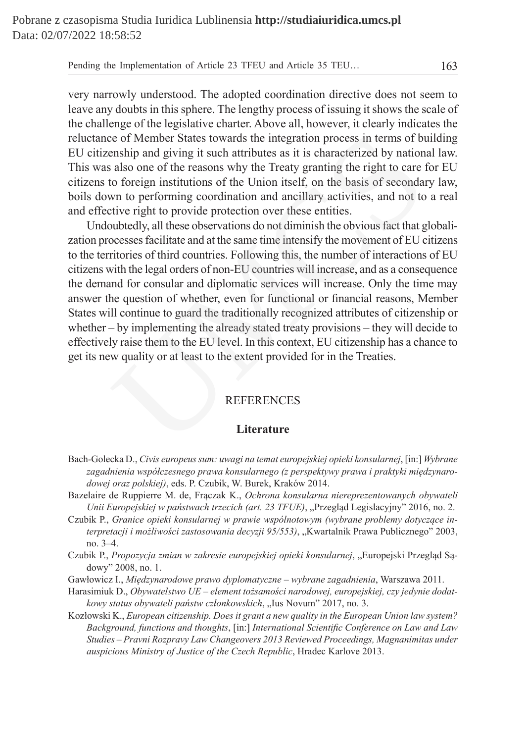very narrowly understood. The adopted coordination directive does not seem to leave any doubts in this sphere. The lengthy process of issuing it shows the scale of the challenge of the legislative charter. Above all, however, it clearly indicates the reluctance of Member States towards the integration process in terms of building EU citizenship and giving it such attributes as it is characterized by national law. This was also one of the reasons why the Treaty granting the right to care for EU citizens to foreign institutions of the Union itself, on the basis of secondary law, boils down to performing coordination and ancillary activities, and not to a real and effective right to provide protection over these entities.

Undoubtedly, all these observations do not diminish the obvious fact that globalization processes facilitate and at the same time intensify the movement of EU citizens to the territories of third countries. Following this, the number of interactions of EU citizens with the legal orders of non-EU countries will increase, and as a consequence the demand for consular and diplomatic services will increase. Only the time may answer the question of whether, even for functional or financial reasons, Member States will continue to guard the traditionally recognized attributes of citizenship or whether – by implementing the already stated treaty provisions – they will decide to effectively raise them to the EU level. In this context, EU citizenship has a chance to get its new quality or at least to the extent provided for in the Treaties. is the integral of Member States towards the integration process in terms of buship and giving it such attributes as it is characterized by nation also one of the reasons why the Treaty granting the right to care is also o

#### **REFERENCES**

#### **Literature**

- Bach-Golecka D., *Civis europeus sum: uwagi na temat europejskiej opieki konsularnej*, [in:] *Wybrane zagadnienia współczesnego prawa konsularnego (z perspektywy prawa i praktyki międzynarodowej oraz polskiej)*, eds. P. Czubik, W. Burek, Kraków 2014.
- Bazelaire de Ruppierre M. de, Frączak K., *Ochrona konsularna niereprezentowanych obywateli Unii Europejskiej w państwach trzecich (art. 23 TFUE)*, "Przegląd Legislacyjny" 2016, no. 2.
- Czubik P., *Granice opieki konsularnej w prawie wspólnotowym (wybrane problemy dotyczące interpretacji i możliwości zastosowania decyzji 95/553)*, "Kwartalnik Prawa Publicznego" 2003, no. 3–4.
- Czubik P., *Propozycja zmian w zakresie europejskiej opieki konsularnej*, "Europejski Przegląd Sądowy" 2008, no. 1.
- Gawłowicz I., *Międzynarodowe prawo dyplomatyczne wybrane zagadnienia*, Warszawa 2011.
- Harasimiuk D., *Obywatelstwo UE element tożsamości narodowej, europejskiej, czy jedynie dodatkowy status obywateli państw członkowskich*, "Ius Novum" 2017, no. 3.
- Kozłowski K., *European citizenship. Does it grant a new quality in the European Union law system? Background, functions and thoughts*, [in:] *International Scientific Conference on Law and Law Studies – Pravni Rozpravy Law Changeovers 2013 Reviewed Proceedings, Magnanimitas under auspicious Ministry of Justice of the Czech Republic*, Hradec Karlove 2013.